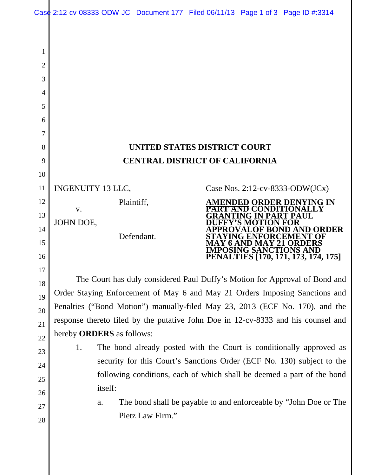| Case 2:12-cv-08333-ODW-JC Document 177 Filed 06/11/13 Page 1 of 3 Page ID #:3314 |  |  |
|----------------------------------------------------------------------------------|--|--|
|                                                                                  |  |  |

| UNITED STATES DISTRICT COURT          |
|---------------------------------------|
| <b>CENTRAL DISTRICT OF CALIFORNIA</b> |

INGENUITY 13 LLC,

 v. JOHN DOE,

1

2

3

4

5

6

7

8

9

10

11

12

13

14

15

16

17

18

19

20

21

22

23

24

25

26

27

28

Defendant.

Plaintiff,

Case Nos. 2:12-cv-8333-ODW(JCx)



The Court has duly considered Paul Duffy's Motion for Approval of Bond and Order Staying Enforcement of May 6 and May 21 Orders Imposing Sanctions and Penalties ("Bond Motion") manually-filed May 23, 2013 (ECF No. 170), and the response thereto filed by the putative John Doe in 12-cv-8333 and his counsel and hereby **ORDERS** as follows:

- 1. The bond already posted with the Court is conditionally approved as security for this Court's Sanctions Order (ECF No. 130) subject to the following conditions, each of which shall be deemed a part of the bond itself:
	- a. The bond shall be payable to and enforceable by "John Doe or The Pietz Law Firm."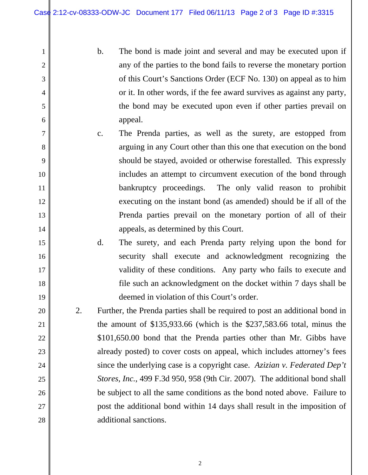1

2

3

4

5

6

7

8

9

10

11

12

13

14

15

16

17

18

19

20

21

22

23

24

25

26

27

28

- b. The bond is made joint and several and may be executed upon if any of the parties to the bond fails to reverse the monetary portion of this Court's Sanctions Order (ECF No. 130) on appeal as to him or it. In other words, if the fee award survives as against any party, the bond may be executed upon even if other parties prevail on appeal.
- c. The Prenda parties, as well as the surety, are estopped from arguing in any Court other than this one that execution on the bond should be stayed, avoided or otherwise forestalled. This expressly includes an attempt to circumvent execution of the bond through bankruptcy proceedings. The only valid reason to prohibit executing on the instant bond (as amended) should be if all of the Prenda parties prevail on the monetary portion of all of their appeals, as determined by this Court.
	- d. The surety, and each Prenda party relying upon the bond for security shall execute and acknowledgment recognizing the validity of these conditions. Any party who fails to execute and file such an acknowledgment on the docket within 7 days shall be deemed in violation of this Court's order.
- 2. Further, the Prenda parties shall be required to post an additional bond in the amount of \$135,933.66 (which is the \$237,583.66 total, minus the \$101,650.00 bond that the Prenda parties other than Mr. Gibbs have already posted) to cover costs on appeal, which includes attorney's fees since the underlying case is a copyright case. *Azizian v. Federated Dep't Stores, Inc.*, 499 F.3d 950, 958 (9th Cir. 2007). The additional bond shall be subject to all the same conditions as the bond noted above. Failure to post the additional bond within 14 days shall result in the imposition of additional sanctions.